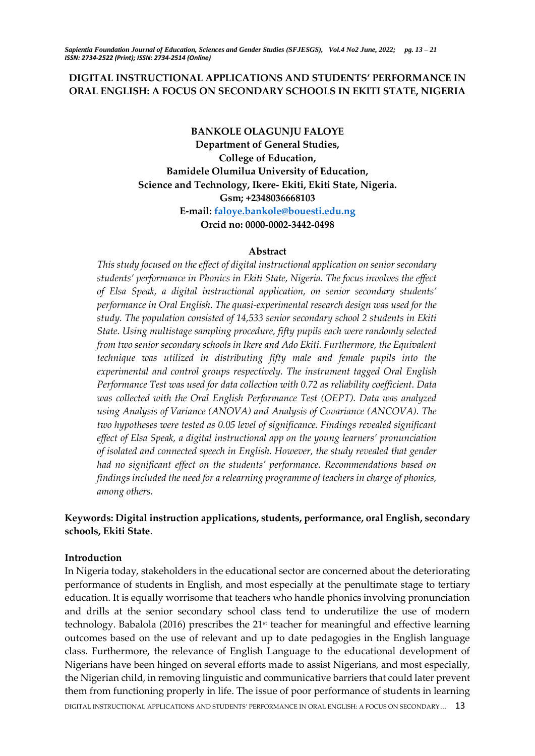# **DIGITAL INSTRUCTIONAL APPLICATIONS AND STUDENTS' PERFORMANCE IN ORAL ENGLISH: A FOCUS ON SECONDARY SCHOOLS IN EKITI STATE, NIGERIA**

**BANKOLE OLAGUNJU FALOYE Department of General Studies, College of Education, Bamidele Olumilua University of Education, Science and Technology, Ikere- Ekiti, Ekiti State, Nigeria. Gsm; +2348036668103 E-mail: [faloye.bankole@bouesti.edu.ng](mailto:faloye.bankole@bouesti.edu.ng) Orcid no: 0000-0002-3442-0498**

#### **Abstract**

*This study focused on the effect of digital instructional application on senior secondary students' performance in Phonics in Ekiti State, Nigeria. The focus involves the effect of Elsa Speak, a digital instructional application, on senior secondary students' performance in Oral English. The quasi-experimental research design was used for the study. The population consisted of 14,533 senior secondary school 2 students in Ekiti State. Using multistage sampling procedure, fifty pupils each were randomly selected from two senior secondary schools in Ikere and Ado Ekiti. Furthermore, the Equivalent technique was utilized in distributing fifty male and female pupils into the experimental and control groups respectively. The instrument tagged Oral English Performance Test was used for data collection with 0.72 as reliability coefficient. Data was collected with the Oral English Performance Test (OEPT). Data was analyzed using Analysis of Variance (ANOVA) and Analysis of Covariance (ANCOVA). The two hypotheses were tested as 0.05 level of significance. Findings revealed significant effect of Elsa Speak, a digital instructional app on the young learners' pronunciation of isolated and connected speech in English. However, the study revealed that gender had no significant effect on the students' performance. Recommendations based on findings included the need for a relearning programme of teachers in charge of phonics, among others.* 

# **Keywords: Digital instruction applications, students, performance, oral English, secondary schools, Ekiti State**.

# **Introduction**

DIGITAL INSTRUCTIONAL APPLICATIONS AND STUDENTS' PERFORMANCE IN ORAL ENGLISH: A FOCUS ON SECONDARY... 13 In Nigeria today, stakeholders in the educational sector are concerned about the deteriorating performance of students in English, and most especially at the penultimate stage to tertiary education. It is equally worrisome that teachers who handle phonics involving pronunciation and drills at the senior secondary school class tend to underutilize the use of modern technology. Babalola (2016) prescribes the 21st teacher for meaningful and effective learning outcomes based on the use of relevant and up to date pedagogies in the English language class. Furthermore, the relevance of English Language to the educational development of Nigerians have been hinged on several efforts made to assist Nigerians, and most especially, the Nigerian child, in removing linguistic and communicative barriers that could later prevent them from functioning properly in life. The issue of poor performance of students in learning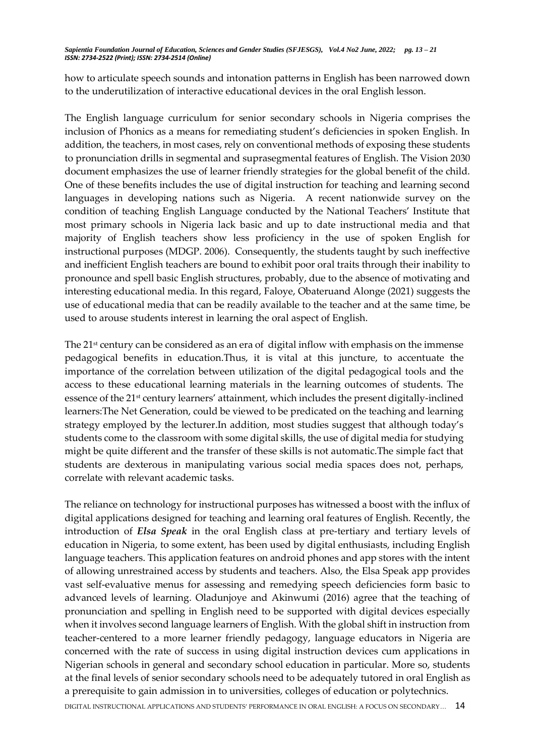how to articulate speech sounds and intonation patterns in English has been narrowed down to the underutilization of interactive educational devices in the oral English lesson.

The English language curriculum for senior secondary schools in Nigeria comprises the inclusion of Phonics as a means for remediating student's deficiencies in spoken English. In addition, the teachers, in most cases, rely on conventional methods of exposing these students to pronunciation drills in segmental and suprasegmental features of English. The Vision 2030 document emphasizes the use of learner friendly strategies for the global benefit of the child. One of these benefits includes the use of digital instruction for teaching and learning second languages in developing nations such as Nigeria. A recent nationwide survey on the condition of teaching English Language conducted by the National Teachers' Institute that most primary schools in Nigeria lack basic and up to date instructional media and that majority of English teachers show less proficiency in the use of spoken English for instructional purposes (MDGP. 2006). Consequently, the students taught by such ineffective and inefficient English teachers are bound to exhibit poor oral traits through their inability to pronounce and spell basic English structures, probably, due to the absence of motivating and interesting educational media. In this regard, Faloye, Obateruand Alonge (2021) suggests the use of educational media that can be readily available to the teacher and at the same time, be used to arouse students interest in learning the oral aspect of English.

The 21<sup>st</sup> century can be considered as an era of digital inflow with emphasis on the immense pedagogical benefits in education.Thus, it is vital at this juncture, to accentuate the importance of the correlation between utilization of the digital pedagogical tools and the access to these educational learning materials in the learning outcomes of students. The essence of the 21st century learners' attainment, which includes the present digitally-inclined learners:The Net Generation, could be viewed to be predicated on the teaching and learning strategy employed by the lecturer.In addition, most studies suggest that although today's students come to the classroom with some digital skills, the use of digital media for studying might be quite different and the transfer of these skills is not automatic.The simple fact that students are dexterous in manipulating various social media spaces does not, perhaps, correlate with relevant academic tasks.

The reliance on technology for instructional purposes has witnessed a boost with the influx of digital applications designed for teaching and learning oral features of English. Recently, the introduction of *Elsa Speak* in the oral English class at pre-tertiary and tertiary levels of education in Nigeria, to some extent, has been used by digital enthusiasts, including English language teachers. This application features on android phones and app stores with the intent of allowing unrestrained access by students and teachers. Also, the Elsa Speak app provides vast self-evaluative menus for assessing and remedying speech deficiencies form basic to advanced levels of learning. Oladunjoye and Akinwumi (2016) agree that the teaching of pronunciation and spelling in English need to be supported with digital devices especially when it involves second language learners of English. With the global shift in instruction from teacher-centered to a more learner friendly pedagogy, language educators in Nigeria are concerned with the rate of success in using digital instruction devices cum applications in Nigerian schools in general and secondary school education in particular. More so, students at the final levels of senior secondary schools need to be adequately tutored in oral English as a prerequisite to gain admission in to universities, colleges of education or polytechnics.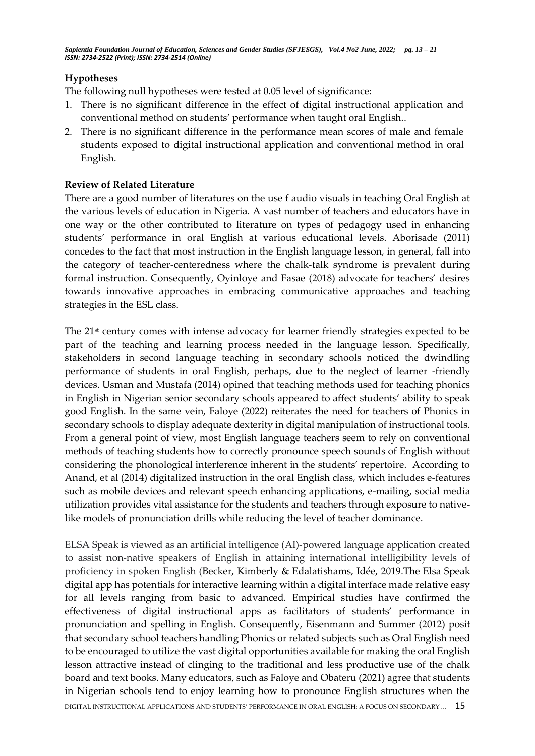# **Hypotheses**

The following null hypotheses were tested at 0.05 level of significance:

- 1. There is no significant difference in the effect of digital instructional application and conventional method on students' performance when taught oral English..
- 2. There is no significant difference in the performance mean scores of male and female students exposed to digital instructional application and conventional method in oral English.

## **Review of Related Literature**

There are a good number of literatures on the use f audio visuals in teaching Oral English at the various levels of education in Nigeria. A vast number of teachers and educators have in one way or the other contributed to literature on types of pedagogy used in enhancing students' performance in oral English at various educational levels. Aborisade (2011) concedes to the fact that most instruction in the English language lesson, in general, fall into the category of teacher-centeredness where the chalk-talk syndrome is prevalent during formal instruction. Consequently, Oyinloye and Fasae (2018) advocate for teachers' desires towards innovative approaches in embracing communicative approaches and teaching strategies in the ESL class.

The 21st century comes with intense advocacy for learner friendly strategies expected to be part of the teaching and learning process needed in the language lesson. Specifically, stakeholders in second language teaching in secondary schools noticed the dwindling performance of students in oral English, perhaps, due to the neglect of learner -friendly devices. Usman and Mustafa (2014) opined that teaching methods used for teaching phonics in English in Nigerian senior secondary schools appeared to affect students' ability to speak good English. In the same vein, Faloye (2022) reiterates the need for teachers of Phonics in secondary schools to display adequate dexterity in digital manipulation of instructional tools. From a general point of view, most English language teachers seem to rely on conventional methods of teaching students how to correctly pronounce speech sounds of English without considering the phonological interference inherent in the students' repertoire. According to Anand, et al (2014) digitalized instruction in the oral English class, which includes e-features such as mobile devices and relevant speech enhancing applications, e-mailing, social media utilization provides vital assistance for the students and teachers through exposure to nativelike models of pronunciation drills while reducing the level of teacher dominance.

DIGITAL INSTRUCTIONAL APPLICATIONS AND STUDENTS' PERFORMANCE IN ORAL ENGLISH: A FOCUS ON SECONDARY… 15 ELSA Speak is viewed as an artificial intelligence (AI)-powered language application created to assist non-native speakers of English in attaining international intelligibility levels of proficiency in spoken English (Becker, Kimberly & Edalatishams, Idée, 2019.The Elsa Speak digital app has potentials for interactive learning within a digital interface made relative easy for all levels ranging from basic to advanced. Empirical studies have confirmed the effectiveness of digital instructional apps as facilitators of students' performance in pronunciation and spelling in English. Consequently, Eisenmann and Summer (2012) posit that secondary school teachers handling Phonics or related subjects such as Oral English need to be encouraged to utilize the vast digital opportunities available for making the oral English lesson attractive instead of clinging to the traditional and less productive use of the chalk board and text books. Many educators, such as Faloye and Obateru (2021) agree that students in Nigerian schools tend to enjoy learning how to pronounce English structures when the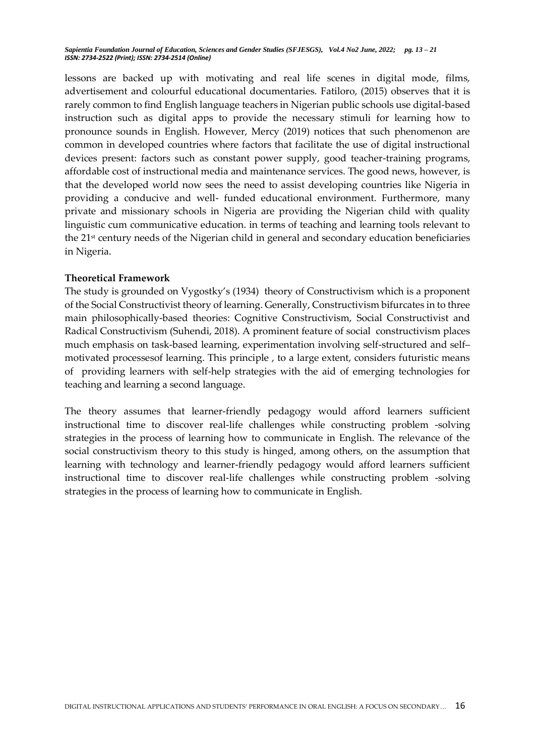lessons are backed up with motivating and real life scenes in digital mode, films, advertisement and colourful educational documentaries. Fatiloro, (2015) observes that it is rarely common to find English language teachers in Nigerian public schools use digital-based instruction such as digital apps to provide the necessary stimuli for learning how to pronounce sounds in English. However, Mercy (2019) notices that such phenomenon are common in developed countries where factors that facilitate the use of digital instructional devices present: factors such as constant power supply, good teacher-training programs, affordable cost of instructional media and maintenance services. The good news, however, is that the developed world now sees the need to assist developing countries like Nigeria in providing a conducive and well- funded educational environment. Furthermore, many private and missionary schools in Nigeria are providing the Nigerian child with quality linguistic cum communicative education. in terms of teaching and learning tools relevant to the 21st century needs of the Nigerian child in general and secondary education beneficiaries in Nigeria.

## **Theoretical Framework**

The study is grounded on Vygostky's (1934) theory of Constructivism which is a proponent of the Social Constructivist theory of learning. Generally, Constructivism bifurcates in to three main philosophically-based theories: Cognitive Constructivism, Social Constructivist and Radical Constructivism (Suhendi, 2018). A prominent feature of social constructivism places much emphasis on task-based learning, experimentation involving self-structured and self– motivated processesof learning. This principle , to a large extent, considers futuristic means of providing learners with self-help strategies with the aid of emerging technologies for teaching and learning a second language.

The theory assumes that learner-friendly pedagogy would afford learners sufficient instructional time to discover real-life challenges while constructing problem -solving strategies in the process of learning how to communicate in English. The relevance of the social constructivism theory to this study is hinged, among others, on the assumption that learning with technology and learner-friendly pedagogy would afford learners sufficient instructional time to discover real-life challenges while constructing problem -solving strategies in the process of learning how to communicate in English.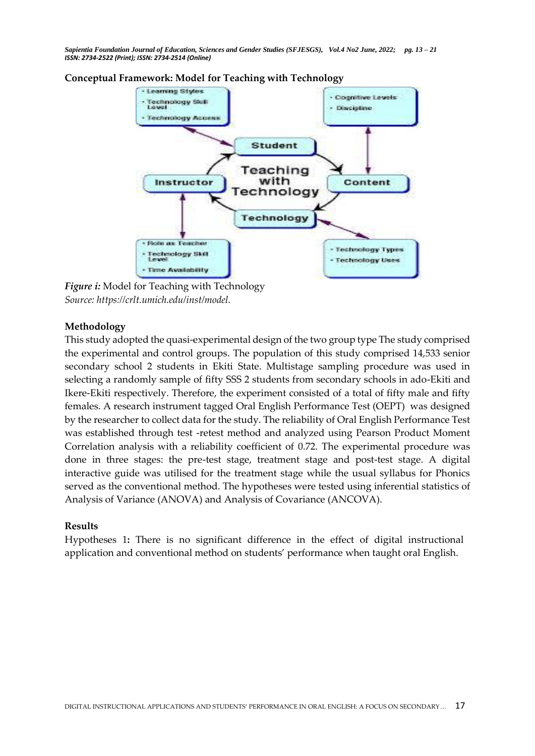



*Figure i:* Model for Teaching with Technology *Source: https://crlt.umich.edu/inst/model.*

## **Methodology**

This study adopted the quasi-experimental design of the two group type The study comprised the experimental and control groups. The population of this study comprised 14,533 senior secondary school 2 students in Ekiti State. Multistage sampling procedure was used in selecting a randomly sample of fifty SSS 2 students from secondary schools in ado-Ekiti and Ikere-Ekiti respectively. Therefore, the experiment consisted of a total of fifty male and fifty females. A research instrument tagged Oral English Performance Test (OEPT) was designed by the researcher to collect data for the study. The reliability of Oral English Performance Test was established through test -retest method and analyzed using Pearson Product Moment Correlation analysis with a reliability coefficient of 0.72. The experimental procedure was done in three stages: the pre-test stage, treatment stage and post-test stage. A digital interactive guide was utilised for the treatment stage while the usual syllabus for Phonics served as the conventional method. The hypotheses were tested using inferential statistics of Analysis of Variance (ANOVA) and Analysis of Covariance (ANCOVA).

#### **Results**

Hypotheses 1**:** There is no significant difference in the effect of digital instructional application and conventional method on students' performance when taught oral English.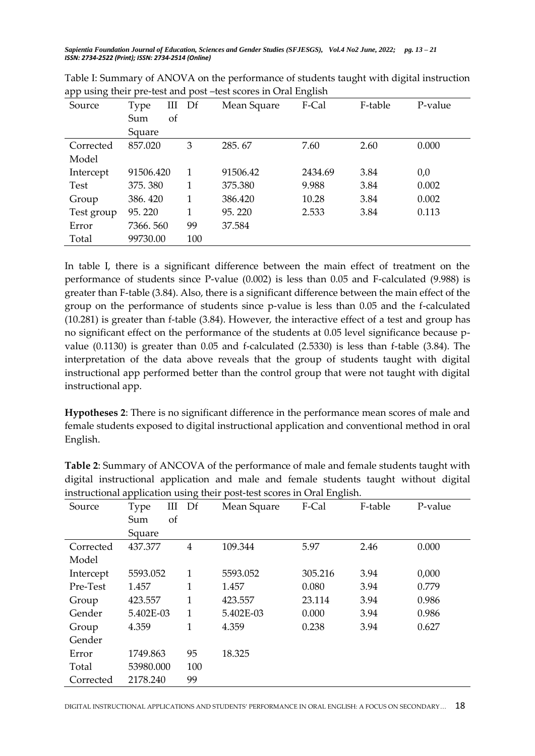| Source      | III<br><b>Type</b> | Df  | Mean Square | F-Cal   | F-table | P-value |
|-------------|--------------------|-----|-------------|---------|---------|---------|
|             | οf<br>Sum          |     |             |         |         |         |
|             | Square             |     |             |         |         |         |
| Corrected   | 857.020            | 3   | 285.67      | 7.60    | 2.60    | 0.000   |
| Model       |                    |     |             |         |         |         |
| Intercept   | 91506.420          | 1   | 91506.42    | 2434.69 | 3.84    | 0,0     |
| <b>Test</b> | 375.380            | 1   | 375.380     | 9.988   | 3.84    | 0.002   |
| Group       | 386.420            | 1   | 386.420     | 10.28   | 3.84    | 0.002   |
| Test group  | 95.220             | 1   | 95.220      | 2.533   | 3.84    | 0.113   |
| Error       | 7366.560           | 99  | 37.584      |         |         |         |
| Total       | 99730.00           | 100 |             |         |         |         |
|             |                    |     |             |         |         |         |

| Table I: Summary of ANOVA on the performance of students taught with digital instruction |  |
|------------------------------------------------------------------------------------------|--|
| app using their pre-test and post -test scores in Oral English                           |  |

In table I, there is a significant difference between the main effect of treatment on the performance of students since P-value (0.002) is less than 0.05 and F-calculated (9.988) is greater than F-table (3.84). Also, there is a significant difference between the main effect of the group on the performance of students since p-value is less than 0.05 and the f-calculated (10.281) is greater than f-table (3.84). However, the interactive effect of a test and group has no significant effect on the performance of the students at 0.05 level significance because pvalue (0.1130) is greater than 0.05 and f-calculated (2.5330) is less than f-table (3.84). The interpretation of the data above reveals that the group of students taught with digital instructional app performed better than the control group that were not taught with digital instructional app.

**Hypotheses 2**: There is no significant difference in the performance mean scores of male and female students exposed to digital instructional application and conventional method in oral English.

| instructional application using their post-test scores in Oral English. |           |     |             |         |         |         |  |  |
|-------------------------------------------------------------------------|-----------|-----|-------------|---------|---------|---------|--|--|
| Source                                                                  | Ш<br>Type | Df  | Mean Square | F-Cal   | F-table | P-value |  |  |
|                                                                         | of<br>Sum |     |             |         |         |         |  |  |
|                                                                         | Square    |     |             |         |         |         |  |  |
| Corrected                                                               | 437.377   | 4   | 109.344     | 5.97    | 2.46    | 0.000   |  |  |
| Model                                                                   |           |     |             |         |         |         |  |  |
| Intercept                                                               | 5593.052  | 1   | 5593.052    | 305.216 | 3.94    | 0,000   |  |  |
| Pre-Test                                                                | 1.457     | 1   | 1.457       | 0.080   | 3.94    | 0.779   |  |  |
| Group                                                                   | 423.557   | 1   | 423.557     | 23.114  | 3.94    | 0.986   |  |  |
| Gender                                                                  | 5.402E-03 | 1   | 5.402E-03   | 0.000   | 3.94    | 0.986   |  |  |
| Group                                                                   | 4.359     | 1   | 4.359       | 0.238   | 3.94    | 0.627   |  |  |
| Gender                                                                  |           |     |             |         |         |         |  |  |
| Error                                                                   | 1749.863  | 95  | 18.325      |         |         |         |  |  |
| Total                                                                   | 53980.000 | 100 |             |         |         |         |  |  |
| Corrected                                                               | 2178.240  | 99  |             |         |         |         |  |  |

**Table 2**: Summary of ANCOVA of the performance of male and female students taught with digital instructional application and male and female students taught without digital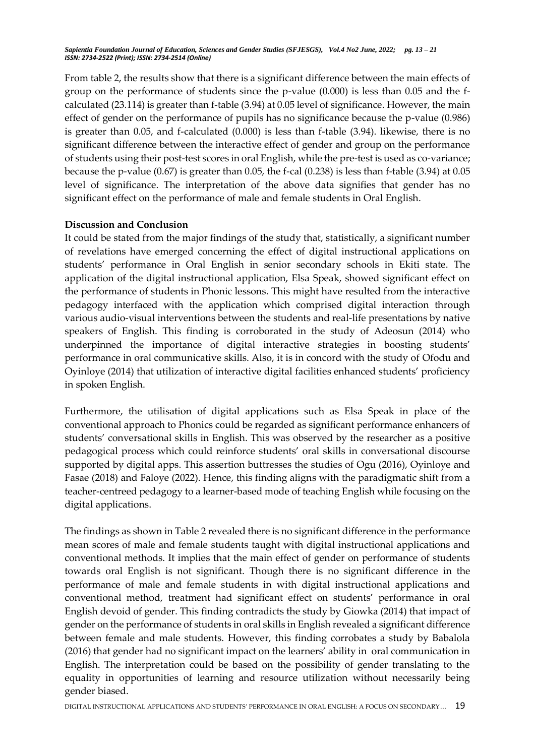From table 2, the results show that there is a significant difference between the main effects of group on the performance of students since the p-value (0.000) is less than 0.05 and the fcalculated (23.114) is greater than f-table (3.94) at 0.05 level of significance. However, the main effect of gender on the performance of pupils has no significance because the p-value (0.986) is greater than 0.05, and f-calculated (0.000) is less than f-table (3.94). likewise, there is no significant difference between the interactive effect of gender and group on the performance of students using their post-test scores in oral English, while the pre-test is used as co-variance; because the p-value (0.67) is greater than 0.05, the f-cal (0.238) is less than f-table (3.94) at 0.05 level of significance. The interpretation of the above data signifies that gender has no significant effect on the performance of male and female students in Oral English.

#### **Discussion and Conclusion**

It could be stated from the major findings of the study that, statistically, a significant number of revelations have emerged concerning the effect of digital instructional applications on students' performance in Oral English in senior secondary schools in Ekiti state. The application of the digital instructional application, Elsa Speak, showed significant effect on the performance of students in Phonic lessons. This might have resulted from the interactive pedagogy interfaced with the application which comprised digital interaction through various audio-visual interventions between the students and real-life presentations by native speakers of English. This finding is corroborated in the study of Adeosun (2014) who underpinned the importance of digital interactive strategies in boosting students' performance in oral communicative skills. Also, it is in concord with the study of Ofodu and Oyinloye (2014) that utilization of interactive digital facilities enhanced students' proficiency in spoken English.

Furthermore, the utilisation of digital applications such as Elsa Speak in place of the conventional approach to Phonics could be regarded as significant performance enhancers of students' conversational skills in English. This was observed by the researcher as a positive pedagogical process which could reinforce students' oral skills in conversational discourse supported by digital apps. This assertion buttresses the studies of Ogu (2016), Oyinloye and Fasae (2018) and Faloye (2022). Hence, this finding aligns with the paradigmatic shift from a teacher-centreed pedagogy to a learner-based mode of teaching English while focusing on the digital applications.

The findings as shown in Table 2 revealed there is no significant difference in the performance mean scores of male and female students taught with digital instructional applications and conventional methods. It implies that the main effect of gender on performance of students towards oral English is not significant. Though there is no significant difference in the performance of male and female students in with digital instructional applications and conventional method, treatment had significant effect on students' performance in oral English devoid of gender. This finding contradicts the study by Giowka (2014) that impact of gender on the performance of students in oral skills in English revealed a significant difference between female and male students. However, this finding corrobates a study by Babalola (2016) that gender had no significant impact on the learners' ability in oral communication in English. The interpretation could be based on the possibility of gender translating to the equality in opportunities of learning and resource utilization without necessarily being gender biased.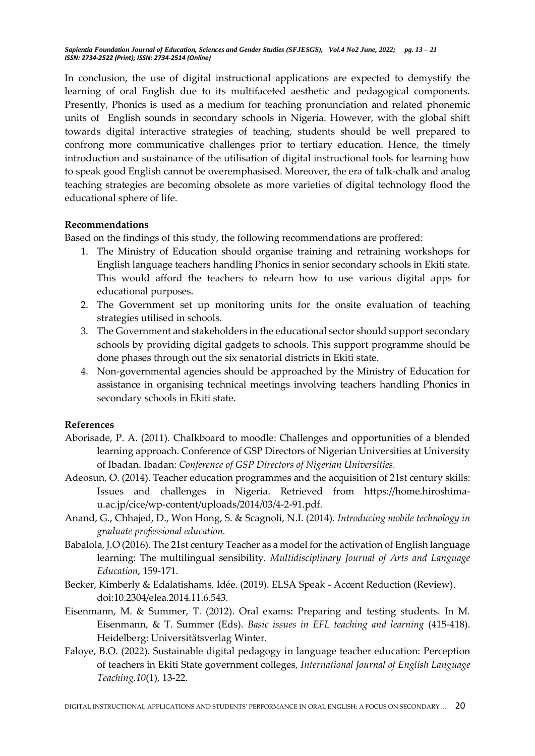In conclusion, the use of digital instructional applications are expected to demystify the learning of oral English due to its multifaceted aesthetic and pedagogical components. Presently, Phonics is used as a medium for teaching pronunciation and related phonemic units of English sounds in secondary schools in Nigeria. However, with the global shift towards digital interactive strategies of teaching, students should be well prepared to confrong more communicative challenges prior to tertiary education. Hence, the timely introduction and sustainance of the utilisation of digital instructional tools for learning how to speak good English cannot be overemphasised. Moreover, the era of talk-chalk and analog teaching strategies are becoming obsolete as more varieties of digital technology flood the educational sphere of life.

## **Recommendations**

Based on the findings of this study, the following recommendations are proffered:

- 1. The Ministry of Education should organise training and retraining workshops for English language teachers handling Phonics in senior secondary schools in Ekiti state. This would afford the teachers to relearn how to use various digital apps for educational purposes.
- 2. The Government set up monitoring units for the onsite evaluation of teaching strategies utilised in schools.
- 3. The Government and stakeholders in the educational sector should support secondary schools by providing digital gadgets to schools. This support programme should be done phases through out the six senatorial districts in Ekiti state.
- 4. Non-governmental agencies should be approached by the Ministry of Education for assistance in organising technical meetings involving teachers handling Phonics in secondary schools in Ekiti state.

# **References**

- Aborisade, P. A. (2011). Chalkboard to moodle: Challenges and opportunities of a blended learning approach. Conference of GSP Directors of Nigerian Universities at University of Ibadan. Ibadan: *Conference of GSP Directors of Nigerian Universities.*
- Adeosun, O. (2014). Teacher education programmes and the acquisition of 21st century skills: Issues and challenges in Nigeria. Retrieved from https://home.hiroshimau.ac.jp/cice/wp-content/uploads/2014/03/4-2-91.pdf.
- Anand, G., Chhajed, D., Won Hong, S. & Scagnoli, N.I. (2014). *Introducing mobile technology in graduate professional education.*
- Babalola, J.O (2016). The 21st century Teacher as a model for the activation of English language learning: The multilingual sensibility. *Multidisciplinary Journal of Arts and Language Education*, 159-171.
- Becker, Kimberly & Edalatishams, Idée. (2019). ELSA Speak Accent Reduction (Review). doi:10.2304/elea.2014.11.6.543.
- Eisenmann, M. & Summer, T. (2012). Oral exams: Preparing and testing students. In M. Eisenmann, & T. Summer (Eds). *Basic issues in EFL teaching and learning* (415-418). Heidelberg: Universitätsverlag Winter.
- Faloye, B.O. (2022). Sustainable digital pedagogy in language teacher education: Perception of teachers in Ekiti State government colleges, *International Journal of English Language Teaching,10*(1), 13-22.